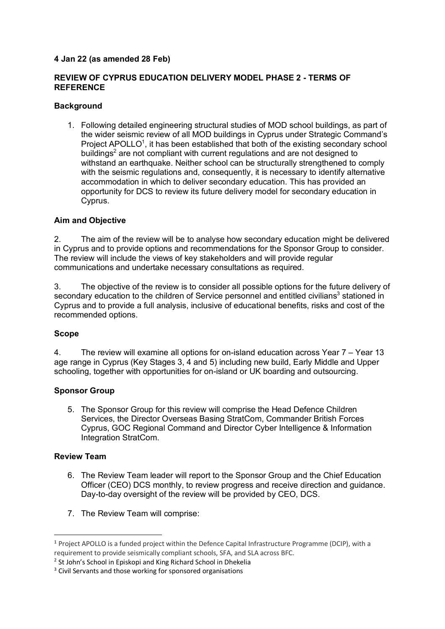# **4 Jan 22 (as amended 28 Feb)**

# **REVIEW OF CYPRUS EDUCATION DELIVERY MODEL PHASE 2 - TERMS OF REFERENCE**

# **Background**

1. Following detailed engineering structural studies of MOD school buildings, as part of the wider seismic review of all MOD buildings in Cyprus under Strategic Command's Project APOLLO<sup>1</sup>, it has been established that both of the existing secondary school buildings<sup>2</sup> are not compliant with current regulations and are not designed to withstand an earthquake. Neither school can be structurally strengthened to comply with the seismic regulations and, consequently, it is necessary to identify alternative accommodation in which to deliver secondary education. This has provided an opportunity for DCS to review its future delivery model for secondary education in Cyprus.

# **Aim and Objective**

2. The aim of the review will be to analyse how secondary education might be delivered in Cyprus and to provide options and recommendations for the Sponsor Group to consider. The review will include the views of key stakeholders and will provide regular communications and undertake necessary consultations as required.

3. The objective of the review is to consider all possible options for the future delivery of secondary education to the children of Service personnel and entitled civilians<sup>3</sup> stationed in Cyprus and to provide a full analysis, inclusive of educational benefits, risks and cost of the recommended options.

### **Scope**

4. The review will examine all options for on-island education across Year 7 – Year 13 age range in Cyprus (Key Stages 3, 4 and 5) including new build, Early Middle and Upper schooling, together with opportunities for on-island or UK boarding and outsourcing.

### **Sponsor Group**

5. The Sponsor Group for this review will comprise the Head Defence Children Services, the Director Overseas Basing StratCom, Commander British Forces Cyprus, GOC Regional Command and Director Cyber Intelligence & Information Integration StratCom.

### **Review Team**

- 6. The Review Team leader will report to the Sponsor Group and the Chief Education Officer (CEO) DCS monthly, to review progress and receive direction and guidance. Day-to-day oversight of the review will be provided by CEO, DCS.
- 7. The Review Team will comprise:

 <sup>1</sup> Project APOLLO is a funded project within the Defence Capital Infrastructure Programme (DCIP), with a requirement to provide seismically compliant schools, SFA, and SLA across BFC.

<sup>&</sup>lt;sup>2</sup> St John's School in Episkopi and King Richard School in Dhekelia

<sup>&</sup>lt;sup>3</sup> Civil Servants and those working for sponsored organisations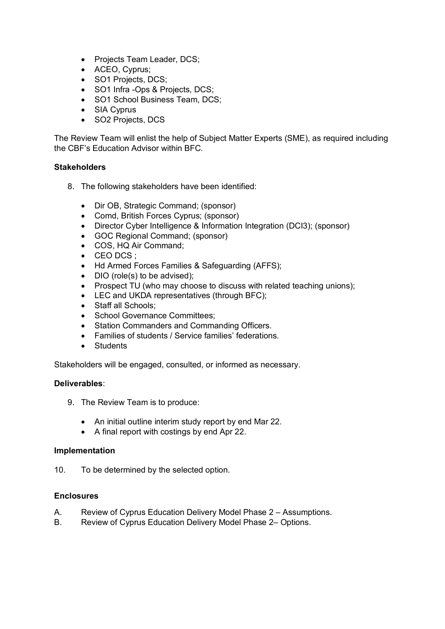- Projects Team Leader, DCS;
- ACEO, Cyprus;
- SO1 Projects, DCS;
- SO1 Infra -Ops & Projects, DCS;
- SO1 School Business Team, DCS;
- SIA Cyprus
- SO2 Projects, DCS

The Review Team will enlist the help of Subject Matter Experts (SME), as required including the CBF's Education Advisor within BFC.

#### **Stakeholders**

- 8. The following stakeholders have been identified:
	- Dir OB, Strategic Command; (sponsor)
	- Comd, British Forces Cyprus; (sponsor)
	- Director Cyber Intelligence & Information Integration (DCI3); (sponsor)
	- GOC Regional Command; (sponsor)
	- COS, HQ Air Command;
	- CEO DCS ;
	- Hd Armed Forces Families & Safeguarding (AFFS);
	- DIO (role(s) to be advised):
	- Prospect TU (who may choose to discuss with related teaching unions);
	- LEC and UKDA representatives (through BFC);
	- Staff all Schools;
	- School Governance Committees:
	- Station Commanders and Commanding Officers.
	- Families of students / Service families' federations.
	- Students

Stakeholders will be engaged, consulted, or informed as necessary.

#### **Deliverables**:

- 9. The Review Team is to produce:
	- An initial outline interim study report by end Mar 22.
	- A final report with costings by end Apr 22.

#### **Implementation**

10. To be determined by the selected option.

#### **Enclosures**

- A. Review of Cyprus Education Delivery Model Phase 2 Assumptions.
- B. Review of Cyprus Education Delivery Model Phase 2– Options.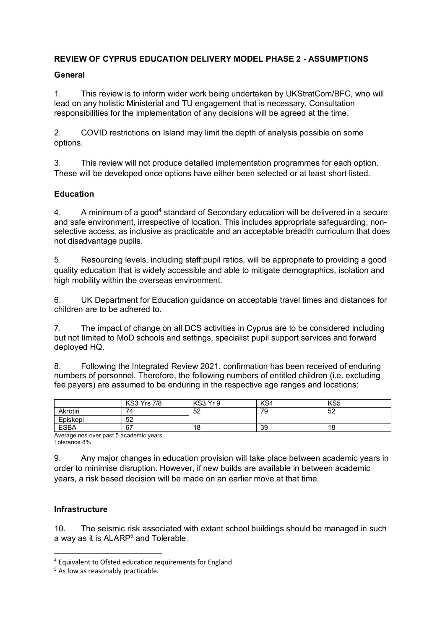# **REVIEW OF CYPRUS EDUCATION DELIVERY MODEL PHASE 2 - ASSUMPTIONS**

# **General**

1. This review is to inform wider work being undertaken by UKStratCom/BFC, who will lead on any holistic Ministerial and TU engagement that is necessary. Consultation responsibilities for the implementation of any decisions will be agreed at the time.

2. COVID restrictions on Island may limit the depth of analysis possible on some options.

3. This review will not produce detailed implementation programmes for each option. These will be developed once options have either been selected or at least short listed.

# **Education**

4. A minimum of a good<sup>4</sup> standard of Secondary education will be delivered in a secure and safe environment, irrespective of location. This includes appropriate safeguarding, nonselective access, as inclusive as practicable and an acceptable breadth curriculum that does not disadvantage pupils.

5. Resourcing levels, including staff:pupil ratios, will be appropriate to providing a good quality education that is widely accessible and able to mitigate demographics, isolation and high mobility within the overseas environment.

6. UK Department for Education guidance on acceptable travel times and distances for children are to be adhered to.

7. The impact of change on all DCS activities in Cyprus are to be considered including but not limited to MoD schools and settings, specialist pupil support services and forward deployed HQ.

8. Following the Integrated Review 2021, confirmation has been received of enduring numbers of personnel. Therefore, the following numbers of entitled children (i.e. excluding fee payers) are assumed to be enduring in the respective age ranges and locations:

|             | <b>KS3 Yrs 7/8</b> | KS3 Yr 9 | KS4 | KS <sub>5</sub> |
|-------------|--------------------|----------|-----|-----------------|
| Akrotiri    | ⇁<br>′4            | 52       | 79  | 52              |
| Episkopi    | 52                 |          |     |                 |
| <b>ESBA</b> | 67                 | 18       | 39  | 18              |

Average nos over past 5 academic years Tolerance 8%

9. Any major changes in education provision will take place between academic years in order to minimise disruption. However, if new builds are available in between academic years, a risk based decision will be made on an earlier move at that time.

### **Infrastructure**

10. The seismic risk associated with extant school buildings should be managed in such a way as it is ALARP<sup>5</sup> and Tolerable.

<sup>&</sup>lt;sup>4</sup> Equivalent to Ofsted education requirements for England

<sup>&</sup>lt;sup>5</sup> As low as reasonably practicable.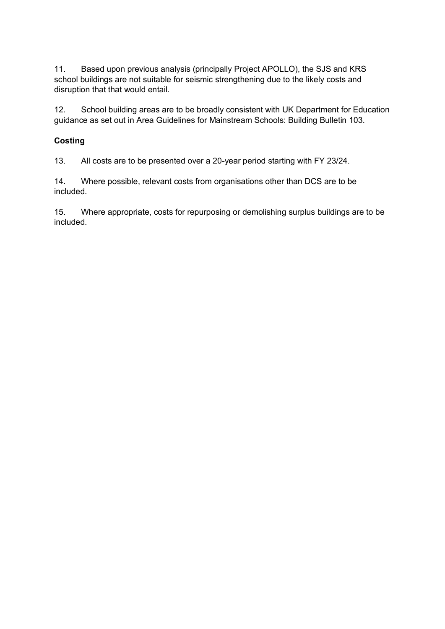11. Based upon previous analysis (principally Project APOLLO), the SJS and KRS school buildings are not suitable for seismic strengthening due to the likely costs and disruption that that would entail.

12. School building areas are to be broadly consistent with UK Department for Education guidance as set out in Area Guidelines for Mainstream Schools: Building Bulletin 103.

# **Costing**

13. All costs are to be presented over a 20-year period starting with FY 23/24.

14. Where possible, relevant costs from organisations other than DCS are to be included.

15. Where appropriate, costs for repurposing or demolishing surplus buildings are to be included.